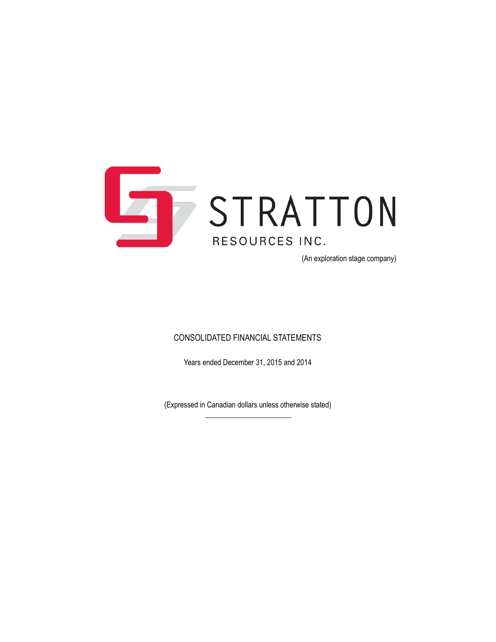

(An exploration stage company)

### CONSOLIDATED FINANCIAL STATEMENTS

Years ended December 31, 2015 and 2014

(Expressed in Canadian dollars unless otherwise stated)  $\overline{\phantom{a}}$  , where the contract of the contract of the contract of the contract of the contract of the contract of the contract of the contract of the contract of the contract of the contract of the contract of the contr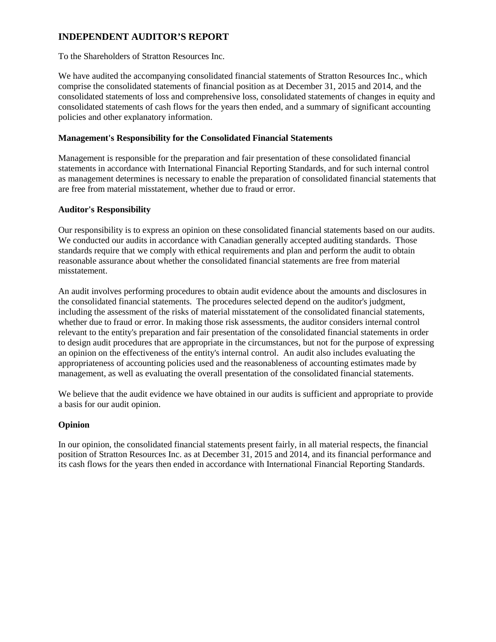### **INDEPENDENT AUDITOR'S REPORT**

To the Shareholders of Stratton Resources Inc.

We have audited the accompanying consolidated financial statements of Stratton Resources Inc., which comprise the consolidated statements of financial position as at December 31, 2015 and 2014, and the consolidated statements of loss and comprehensive loss, consolidated statements of changes in equity and consolidated statements of cash flows for the years then ended, and a summary of significant accounting policies and other explanatory information.

### **Management's Responsibility for the Consolidated Financial Statements**

Management is responsible for the preparation and fair presentation of these consolidated financial statements in accordance with International Financial Reporting Standards, and for such internal control as management determines is necessary to enable the preparation of consolidated financial statements that are free from material misstatement, whether due to fraud or error.

### **Auditor's Responsibility**

Our responsibility is to express an opinion on these consolidated financial statements based on our audits. We conducted our audits in accordance with Canadian generally accepted auditing standards. Those standards require that we comply with ethical requirements and plan and perform the audit to obtain reasonable assurance about whether the consolidated financial statements are free from material misstatement.

An audit involves performing procedures to obtain audit evidence about the amounts and disclosures in the consolidated financial statements. The procedures selected depend on the auditor's judgment, including the assessment of the risks of material misstatement of the consolidated financial statements, whether due to fraud or error. In making those risk assessments, the auditor considers internal control relevant to the entity's preparation and fair presentation of the consolidated financial statements in order to design audit procedures that are appropriate in the circumstances, but not for the purpose of expressing an opinion on the effectiveness of the entity's internal control. An audit also includes evaluating the appropriateness of accounting policies used and the reasonableness of accounting estimates made by management, as well as evaluating the overall presentation of the consolidated financial statements.

We believe that the audit evidence we have obtained in our audits is sufficient and appropriate to provide a basis for our audit opinion.

### **Opinion**

In our opinion, the consolidated financial statements present fairly, in all material respects, the financial position of Stratton Resources Inc. as at December 31, 2015 and 2014, and its financial performance and its cash flows for the years then ended in accordance with International Financial Reporting Standards.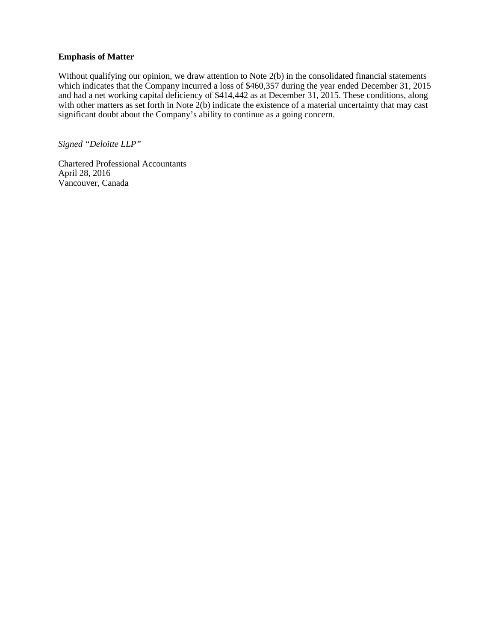### **Emphasis of Matter**

Without qualifying our opinion, we draw attention to Note 2(b) in the consolidated financial statements which indicates that the Company incurred a loss of \$460,357 during the year ended December 31, 2015 and had a net working capital deficiency of \$414,442 as at December 31, 2015. These conditions, along with other matters as set forth in Note  $2(b)$  indicate the existence of a material uncertainty that may cast significant doubt about the Company's ability to continue as a going concern.

*Signed "Deloitte LLP"*

Chartered Professional Accountants April 28, 2016 Vancouver, Canada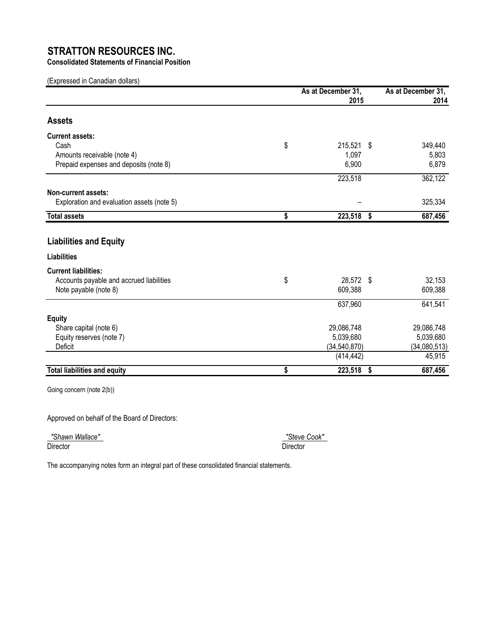**Consolidated Statements of Financial Position**

(Expressed in Canadian dollars)

|                                            | As at December 31,<br>2015 | As at December 31,<br>2014 |
|--------------------------------------------|----------------------------|----------------------------|
| <b>Assets</b>                              |                            |                            |
| <b>Current assets:</b>                     |                            |                            |
| Cash                                       | \$<br>215,521 \$           | 349,440                    |
| Amounts receivable (note 4)                | 1,097                      | 5,803                      |
| Prepaid expenses and deposits (note 8)     | 6,900                      | 6,879                      |
|                                            | 223,518                    | 362,122                    |
| Non-current assets:                        |                            |                            |
| Exploration and evaluation assets (note 5) |                            | 325,334                    |
| <b>Total assets</b>                        | \$<br>223,518              | \$<br>687,456              |
|                                            |                            |                            |
| <b>Liabilities and Equity</b>              |                            |                            |
| <b>Liabilities</b>                         |                            |                            |
| <b>Current liabilities:</b>                |                            |                            |
| Accounts payable and accrued liabilities   | \$<br>28,572 \$            | 32,153                     |
| Note payable (note 8)                      | 609,388                    | 609,388                    |
|                                            | 637,960                    | 641,541                    |
| <b>Equity</b>                              |                            |                            |
| Share capital (note 6)                     | 29,086,748                 | 29,086,748                 |
| Equity reserves (note 7)                   | 5,039,680                  | 5,039,680                  |
| Deficit                                    | (34, 540, 870)             | (34,080,513)               |
|                                            | (414, 442)                 | 45,915                     |
| <b>Total liabilities and equity</b>        | \$<br>223,518              | \$<br>687,456              |

Going concern (note 2(b))

Approved on behalf of the Board of Directors:

 *"Shawn Wallace" "Steve Cook"*  Director Director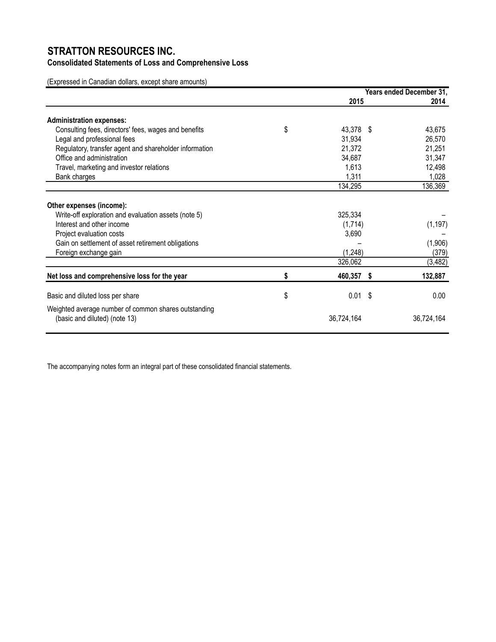### **Consolidated Statements of Loss and Comprehensive Loss**

(Expressed in Canadian dollars, except share amounts)

|                                                        |                   | Years ended December 31, |
|--------------------------------------------------------|-------------------|--------------------------|
|                                                        | 2015              | 2014                     |
| <b>Administration expenses:</b>                        |                   |                          |
| Consulting fees, directors' fees, wages and benefits   | \$<br>43,378 \$   | 43,675                   |
| Legal and professional fees                            | 31,934            | 26,570                   |
| Regulatory, transfer agent and shareholder information | 21,372            | 21,251                   |
| Office and administration                              | 34,687            | 31,347                   |
| Travel, marketing and investor relations               | 1,613             | 12,498                   |
| Bank charges                                           | 1,311             | 1,028                    |
|                                                        | 134,295           | 136,369                  |
| Other expenses (income):                               |                   |                          |
| Write-off exploration and evaluation assets (note 5)   | 325,334           |                          |
| Interest and other income                              | (1,714)           | (1, 197)                 |
| Project evaluation costs                               | 3,690             |                          |
| Gain on settlement of asset retirement obligations     |                   | (1,906)                  |
| Foreign exchange gain                                  | (1, 248)          | (379)                    |
|                                                        | 326,062           | (3, 482)                 |
| Net loss and comprehensive loss for the year           | \$<br>460,357 \$  | 132,887                  |
| Basic and diluted loss per share                       | \$<br>0.01<br>-\$ | 0.00                     |
| Weighted average number of common shares outstanding   |                   |                          |
| (basic and diluted) (note 13)                          | 36,724,164        | 36,724,164               |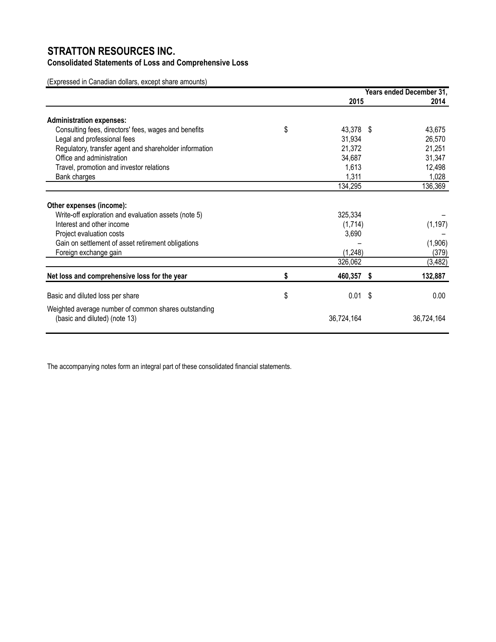### **Consolidated Statements of Loss and Comprehensive Loss**

(Expressed in Canadian dollars, except share amounts)

|                                                                                       |                   | Years ended December 31, |
|---------------------------------------------------------------------------------------|-------------------|--------------------------|
|                                                                                       | 2015              | 2014                     |
| <b>Administration expenses:</b>                                                       |                   |                          |
| Consulting fees, directors' fees, wages and benefits                                  | \$<br>43,378 \$   | 43,675                   |
| Legal and professional fees                                                           | 31,934            | 26,570                   |
| Regulatory, transfer agent and shareholder information                                | 21,372            | 21,251                   |
| Office and administration                                                             | 34,687            | 31,347                   |
| Travel, promotion and investor relations                                              | 1,613             | 12,498                   |
| Bank charges                                                                          | 1,311             | 1,028                    |
|                                                                                       | 134,295           | 136,369                  |
| Other expenses (income):                                                              |                   |                          |
| Write-off exploration and evaluation assets (note 5)                                  | 325,334           |                          |
| Interest and other income                                                             | (1,714)           | (1, 197)                 |
| Project evaluation costs                                                              | 3,690             |                          |
| Gain on settlement of asset retirement obligations                                    |                   | (1,906)                  |
| Foreign exchange gain                                                                 | (1, 248)          | (379)                    |
|                                                                                       | 326,062           | (3, 482)                 |
| Net loss and comprehensive loss for the year                                          | \$<br>460,357 \$  | 132,887                  |
| Basic and diluted loss per share                                                      | \$<br>0.01<br>-\$ | 0.00                     |
|                                                                                       |                   |                          |
| Weighted average number of common shares outstanding<br>(basic and diluted) (note 13) | 36,724,164        | 36,724,164               |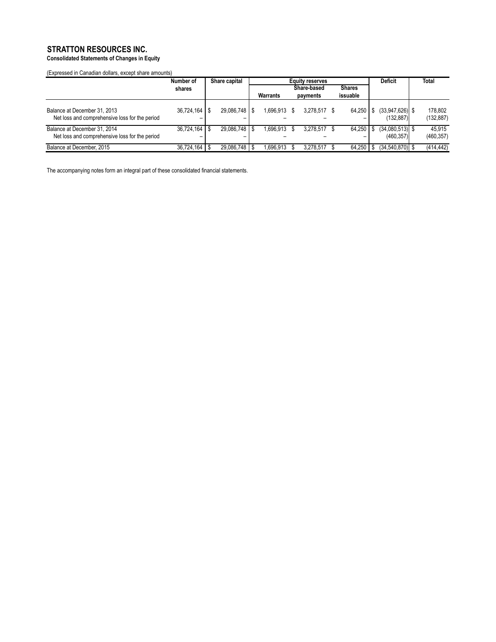### **Consolidated Statements of Changes in Equity**

(Expressed in Canadian dollars, except share amounts)

|                                                                                | Number of         |      | <b>Equity reserves</b><br>Share capital |  | <b>Deficit</b> | <b>Total</b> |               |                                 |                       |
|--------------------------------------------------------------------------------|-------------------|------|-----------------------------------------|--|----------------|--------------|---------------|---------------------------------|-----------------------|
|                                                                                | shares            |      |                                         |  |                | Share-based  | <b>Shares</b> |                                 |                       |
|                                                                                |                   |      |                                         |  | Warrants       | payments     | issuable      |                                 |                       |
| Balance at December 31, 2013<br>Net loss and comprehensive loss for the period | 36.724.164<br>-   | -S   | 29.086.748   \$                         |  | 1.696.913 \$   | 3.278.517    | 64.250        | $(33,947,626)$ \$<br>(132.887)  | 178.802<br>(132, 887) |
| Balance at December 31, 2014<br>Net loss and comprehensive loss for the period | 36.724.164<br>-   | - \$ | 29.086.748   \$                         |  | 1.696.913 \$   | 3.278.517    | 64.250        | $(34,080,513)$ \$<br>(460, 357) | 45.915<br>(460, 357)  |
| Balance at December, 2015                                                      | $36,724,164$ \ \$ |      | 29.086.748   \$                         |  | 1.696.913      | 3.278.517    | 64.250        | $(34.540.870)$ \$               | (414, 442)            |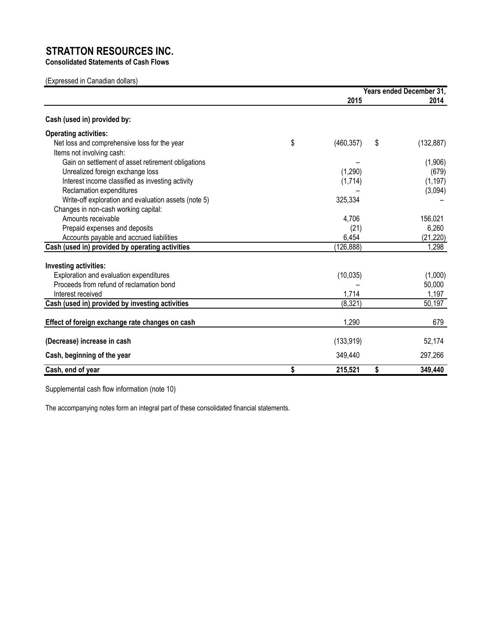**Consolidated Statements of Cash Flows**

(Expressed in Canadian dollars)

|                                                      | Years ended December 31, |    |            |  |
|------------------------------------------------------|--------------------------|----|------------|--|
|                                                      | 2015                     |    | 2014       |  |
| Cash (used in) provided by:                          |                          |    |            |  |
| <b>Operating activities:</b>                         |                          |    |            |  |
| Net loss and comprehensive loss for the year         | \$<br>(460, 357)         | \$ | (132, 887) |  |
| Items not involving cash:                            |                          |    |            |  |
| Gain on settlement of asset retirement obligations   |                          |    | (1,906)    |  |
| Unrealized foreign exchange loss                     | (1,290)                  |    | (679)      |  |
| Interest income classified as investing activity     | (1,714)                  |    | (1, 197)   |  |
| Reclamation expenditures                             |                          |    | (3,094)    |  |
| Write-off exploration and evaluation assets (note 5) | 325,334                  |    |            |  |
| Changes in non-cash working capital:                 |                          |    |            |  |
| Amounts receivable                                   | 4,706                    |    | 156,021    |  |
| Prepaid expenses and deposits                        | (21)                     |    | 6,260      |  |
| Accounts payable and accrued liabilities             | 6,454                    |    | (21, 220)  |  |
| Cash (used in) provided by operating activities      | (126, 888)               |    | 1,298      |  |
| Investing activities:                                |                          |    |            |  |
| Exploration and evaluation expenditures              | (10, 035)                |    | (1,000)    |  |
| Proceeds from refund of reclamation bond             |                          |    | 50,000     |  |
| Interest received                                    | 1,714                    |    | 1,197      |  |
| Cash (used in) provided by investing activities      | (8, 321)                 |    | 50,197     |  |
| Effect of foreign exchange rate changes on cash      | 1,290                    |    | 679        |  |
| (Decrease) increase in cash                          | (133, 919)               |    | 52,174     |  |
| Cash, beginning of the year                          | 349.440                  |    | 297,266    |  |
| Cash, end of year                                    | \$<br>215,521            | \$ | 349,440    |  |

Supplemental cash flow information (note 10)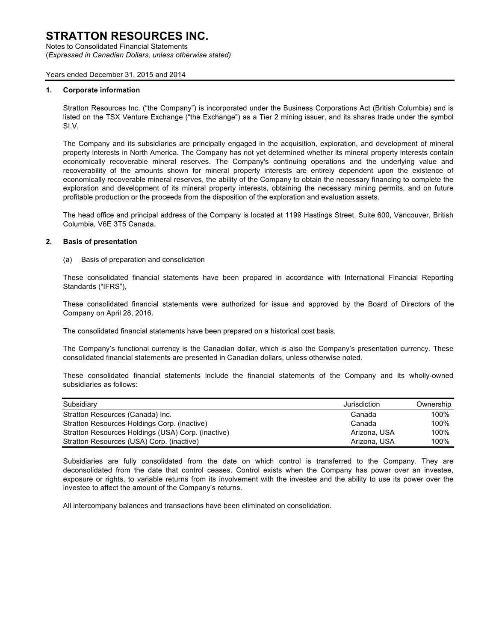Notes to Consolidated Financial Statements (*Expressed in Canadian Dollars, unless otherwise stated)*

#### Years ended December 31, 2015 and 2014

#### **1. Corporate information**

Stratton Resources Inc. ("the Company") is incorporated under the Business Corporations Act (British Columbia) and is listed on the TSX Venture Exchange ("the Exchange") as a Tier 2 mining issuer, and its shares trade under the symbol SI.V.

The Company and its subsidiaries are principally engaged in the acquisition, exploration, and development of mineral property interests in North America. The Company has not yet determined whether its mineral property interests contain economically recoverable mineral reserves. The Company's continuing operations and the underlying value and recoverability of the amounts shown for mineral property interests are entirely dependent upon the existence of economically recoverable mineral reserves, the ability of the Company to obtain the necessary financing to complete the exploration and development of its mineral property interests, obtaining the necessary mining permits, and on future profitable production or the proceeds from the disposition of the exploration and evaluation assets.

The head office and principal address of the Company is located at 1199 Hastings Street, Suite 600, Vancouver, British Columbia, V6E 3T5 Canada.

#### **2. Basis of presentation**

(a) Basis of preparation and consolidation

These consolidated financial statements have been prepared in accordance with International Financial Reporting Standards ("IFRS"),

These consolidated financial statements were authorized for issue and approved by the Board of Directors of the Company on April 28, 2016.

The consolidated financial statements have been prepared on a historical cost basis.

The Company's functional currency is the Canadian dollar, which is also the Company's presentation currency. These consolidated financial statements are presented in Canadian dollars, unless otherwise noted.

These consolidated financial statements include the financial statements of the Company and its wholly-owned subsidiaries as follows:

| Subsidiary                                         | Jurisdiction | Ownership |
|----------------------------------------------------|--------------|-----------|
| Stratton Resources (Canada) Inc.                   | Canada       | 100%      |
| Stratton Resources Holdings Corp. (inactive)       | Canada       | 100%      |
| Stratton Resources Holdings (USA) Corp. (inactive) | Arizona, USA | 100%      |
| Stratton Resources (USA) Corp. (inactive)          | Arizona, USA | 100%      |

Subsidiaries are fully consolidated from the date on which control is transferred to the Company. They are deconsolidated from the date that control ceases. Control exists when the Company has power over an investee, exposure or rights, to variable returns from its involvement with the investee and the ability to use its power over the investee to affect the amount of the Company's returns.

All intercompany balances and transactions have been eliminated on consolidation.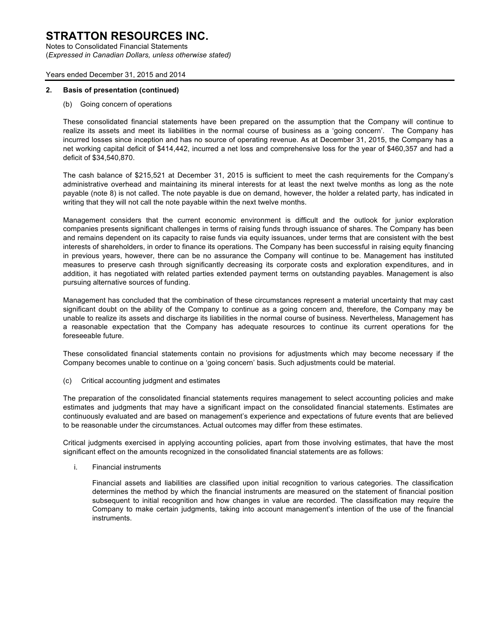Notes to Consolidated Financial Statements (*Expressed in Canadian Dollars, unless otherwise stated)*

#### Years ended December 31, 2015 and 2014

#### **2. Basis of presentation (continued)**

(b) Going concern of operations

These consolidated financial statements have been prepared on the assumption that the Company will continue to realize its assets and meet its liabilities in the normal course of business as a 'going concern'. The Company has incurred losses since inception and has no source of operating revenue. As at December 31, 2015, the Company has a net working capital deficit of \$414,442, incurred a net loss and comprehensive loss for the year of \$460,357 and had a deficit of \$34,540,870.

The cash balance of \$215,521 at December 31, 2015 is sufficient to meet the cash requirements for the Company's administrative overhead and maintaining its mineral interests for at least the next twelve months as long as the note payable (note 8) is not called. The note payable is due on demand, however, the holder a related party, has indicated in writing that they will not call the note payable within the next twelve months.

Management considers that the current economic environment is difficult and the outlook for junior exploration companies presents significant challenges in terms of raising funds through issuance of shares. The Company has been and remains dependent on its capacity to raise funds via equity issuances, under terms that are consistent with the best interests of shareholders, in order to finance its operations. The Company has been successful in raising equity financing in previous years, however, there can be no assurance the Company will continue to be. Management has instituted measures to preserve cash through significantly decreasing its corporate costs and exploration expenditures, and in addition, it has negotiated with related parties extended payment terms on outstanding payables. Management is also pursuing alternative sources of funding.

Management has concluded that the combination of these circumstances represent a material uncertainty that may cast significant doubt on the ability of the Company to continue as a going concern and, therefore, the Company may be unable to realize its assets and discharge its liabilities in the normal course of business. Nevertheless, Management has a reasonable expectation that the Company has adequate resources to continue its current operations for the foreseeable future.

These consolidated financial statements contain no provisions for adjustments which may become necessary if the Company becomes unable to continue on a 'going concern' basis. Such adjustments could be material.

(c) Critical accounting judgment and estimates

The preparation of the consolidated financial statements requires management to select accounting policies and make estimates and judgments that may have a significant impact on the consolidated financial statements. Estimates are continuously evaluated and are based on management's experience and expectations of future events that are believed to be reasonable under the circumstances. Actual outcomes may differ from these estimates.

Critical judgments exercised in applying accounting policies, apart from those involving estimates, that have the most significant effect on the amounts recognized in the consolidated financial statements are as follows:

i. Financial instruments

Financial assets and liabilities are classified upon initial recognition to various categories. The classification determines the method by which the financial instruments are measured on the statement of financial position subsequent to initial recognition and how changes in value are recorded. The classification may require the Company to make certain judgments, taking into account management's intention of the use of the financial instruments.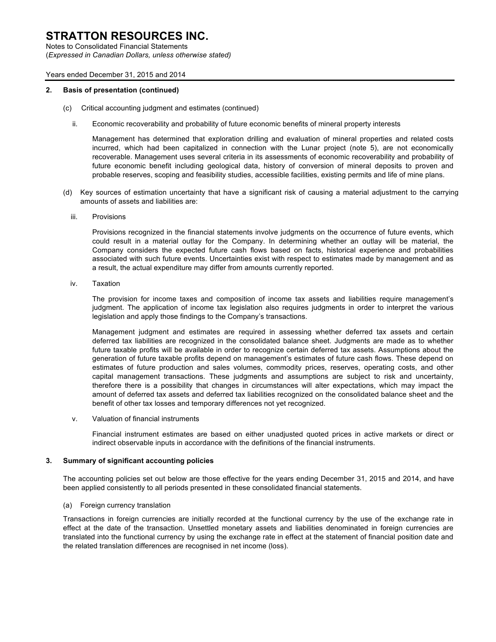Notes to Consolidated Financial Statements (*Expressed in Canadian Dollars, unless otherwise stated)*

#### Years ended December 31, 2015 and 2014

#### **2. Basis of presentation (continued)**

- (c) Critical accounting judgment and estimates (continued)
	- ii. Economic recoverability and probability of future economic benefits of mineral property interests

Management has determined that exploration drilling and evaluation of mineral properties and related costs incurred, which had been capitalized in connection with the Lunar project (note 5), are not economically recoverable. Management uses several criteria in its assessments of economic recoverability and probability of future economic benefit including geological data, history of conversion of mineral deposits to proven and probable reserves, scoping and feasibility studies, accessible facilities, existing permits and life of mine plans.

- (d) Key sources of estimation uncertainty that have a significant risk of causing a material adjustment to the carrying amounts of assets and liabilities are:
	- iii. Provisions

Provisions recognized in the financial statements involve judgments on the occurrence of future events, which could result in a material outlay for the Company. In determining whether an outlay will be material, the Company considers the expected future cash flows based on facts, historical experience and probabilities associated with such future events. Uncertainties exist with respect to estimates made by management and as a result, the actual expenditure may differ from amounts currently reported.

iv. Taxation

The provision for income taxes and composition of income tax assets and liabilities require management's judgment. The application of income tax legislation also requires judgments in order to interpret the various legislation and apply those findings to the Company's transactions.

Management judgment and estimates are required in assessing whether deferred tax assets and certain deferred tax liabilities are recognized in the consolidated balance sheet. Judgments are made as to whether future taxable profits will be available in order to recognize certain deferred tax assets. Assumptions about the generation of future taxable profits depend on management's estimates of future cash flows. These depend on estimates of future production and sales volumes, commodity prices, reserves, operating costs, and other capital management transactions. These judgments and assumptions are subject to risk and uncertainty, therefore there is a possibility that changes in circumstances will alter expectations, which may impact the amount of deferred tax assets and deferred tax liabilities recognized on the consolidated balance sheet and the benefit of other tax losses and temporary differences not yet recognized.

v. Valuation of financial instruments

Financial instrument estimates are based on either unadjusted quoted prices in active markets or direct or indirect observable inputs in accordance with the definitions of the financial instruments.

#### **3. Summary of significant accounting policies**

The accounting policies set out below are those effective for the years ending December 31, 2015 and 2014, and have been applied consistently to all periods presented in these consolidated financial statements.

#### (a) Foreign currency translation

Transactions in foreign currencies are initially recorded at the functional currency by the use of the exchange rate in effect at the date of the transaction. Unsettled monetary assets and liabilities denominated in foreign currencies are translated into the functional currency by using the exchange rate in effect at the statement of financial position date and the related translation differences are recognised in net income (loss).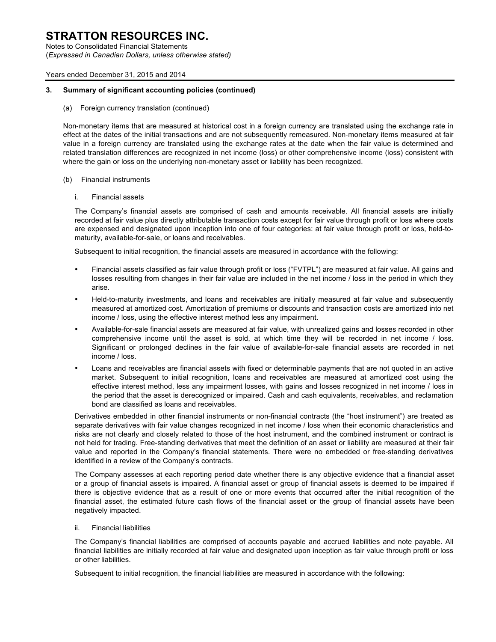Notes to Consolidated Financial Statements (*Expressed in Canadian Dollars, unless otherwise stated)*

#### Years ended December 31, 2015 and 2014

#### **3. Summary of significant accounting policies (continued)**

(a) Foreign currency translation (continued)

Non-monetary items that are measured at historical cost in a foreign currency are translated using the exchange rate in effect at the dates of the initial transactions and are not subsequently remeasured. Non-monetary items measured at fair value in a foreign currency are translated using the exchange rates at the date when the fair value is determined and related translation differences are recognized in net income (loss) or other comprehensive income (loss) consistent with where the gain or loss on the underlying non-monetary asset or liability has been recognized.

#### (b) Financial instruments

i. Financial assets

The Company's financial assets are comprised of cash and amounts receivable. All financial assets are initially recorded at fair value plus directly attributable transaction costs except for fair value through profit or loss where costs are expensed and designated upon inception into one of four categories: at fair value through profit or loss, held-tomaturity, available-for-sale, or loans and receivables.

Subsequent to initial recognition, the financial assets are measured in accordance with the following:

- Financial assets classified as fair value through profit or loss ("FVTPL") are measured at fair value. All gains and losses resulting from changes in their fair value are included in the net income / loss in the period in which they arise.
- Held-to-maturity investments, and loans and receivables are initially measured at fair value and subsequently measured at amortized cost. Amortization of premiums or discounts and transaction costs are amortized into net income / loss, using the effective interest method less any impairment.
- Available-for-sale financial assets are measured at fair value, with unrealized gains and losses recorded in other comprehensive income until the asset is sold, at which time they will be recorded in net income / loss. Significant or prolonged declines in the fair value of available-for-sale financial assets are recorded in net income / loss.
- Loans and receivables are financial assets with fixed or determinable payments that are not quoted in an active market. Subsequent to initial recognition, loans and receivables are measured at amortized cost using the effective interest method, less any impairment losses, with gains and losses recognized in net income / loss in the period that the asset is derecognized or impaired. Cash and cash equivalents, receivables, and reclamation bond are classified as loans and receivables.

Derivatives embedded in other financial instruments or non-financial contracts (the "host instrument") are treated as separate derivatives with fair value changes recognized in net income / loss when their economic characteristics and risks are not clearly and closely related to those of the host instrument, and the combined instrument or contract is not held for trading. Free-standing derivatives that meet the definition of an asset or liability are measured at their fair value and reported in the Company's financial statements. There were no embedded or free-standing derivatives identified in a review of the Company's contracts.

The Company assesses at each reporting period date whether there is any objective evidence that a financial asset or a group of financial assets is impaired. A financial asset or group of financial assets is deemed to be impaired if there is objective evidence that as a result of one or more events that occurred after the initial recognition of the financial asset, the estimated future cash flows of the financial asset or the group of financial assets have been negatively impacted.

#### ii. Financial liabilities

The Company's financial liabilities are comprised of accounts payable and accrued liabilities and note payable. All financial liabilities are initially recorded at fair value and designated upon inception as fair value through profit or loss or other liabilities.

Subsequent to initial recognition, the financial liabilities are measured in accordance with the following: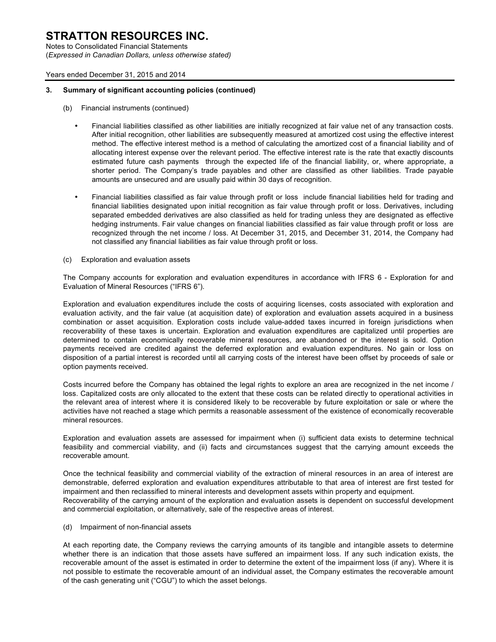Notes to Consolidated Financial Statements (*Expressed in Canadian Dollars, unless otherwise stated)*

#### Years ended December 31, 2015 and 2014

#### **3. Summary of significant accounting policies (continued)**

- (b) Financial instruments (continued)
	- Financial liabilities classified as other liabilities are initially recognized at fair value net of any transaction costs. After initial recognition, other liabilities are subsequently measured at amortized cost using the effective interest method. The effective interest method is a method of calculating the amortized cost of a financial liability and of allocating interest expense over the relevant period. The effective interest rate is the rate that exactly discounts estimated future cash payments through the expected life of the financial liability, or, where appropriate, a shorter period. The Company's trade payables and other are classified as other liabilities. Trade payable amounts are unsecured and are usually paid within 30 days of recognition.
	- Financial liabilities classified as fair value through profit or loss include financial liabilities held for trading and financial liabilities designated upon initial recognition as fair value through profit or loss. Derivatives, including separated embedded derivatives are also classified as held for trading unless they are designated as effective hedging instruments. Fair value changes on financial liabilities classified as fair value through profit or loss are recognized through the net income / loss. At December 31, 2015, and December 31, 2014, the Company had not classified any financial liabilities as fair value through profit or loss.
- (c) Exploration and evaluation assets

The Company accounts for exploration and evaluation expenditures in accordance with IFRS 6 - Exploration for and Evaluation of Mineral Resources ("IFRS 6").

Exploration and evaluation expenditures include the costs of acquiring licenses, costs associated with exploration and evaluation activity, and the fair value (at acquisition date) of exploration and evaluation assets acquired in a business combination or asset acquisition. Exploration costs include value-added taxes incurred in foreign jurisdictions when recoverability of these taxes is uncertain. Exploration and evaluation expenditures are capitalized until properties are determined to contain economically recoverable mineral resources, are abandoned or the interest is sold. Option payments received are credited against the deferred exploration and evaluation expenditures. No gain or loss on disposition of a partial interest is recorded until all carrying costs of the interest have been offset by proceeds of sale or option payments received.

Costs incurred before the Company has obtained the legal rights to explore an area are recognized in the net income / loss. Capitalized costs are only allocated to the extent that these costs can be related directly to operational activities in the relevant area of interest where it is considered likely to be recoverable by future exploitation or sale or where the activities have not reached a stage which permits a reasonable assessment of the existence of economically recoverable mineral resources.

Exploration and evaluation assets are assessed for impairment when (i) sufficient data exists to determine technical feasibility and commercial viability, and (ii) facts and circumstances suggest that the carrying amount exceeds the recoverable amount.

Once the technical feasibility and commercial viability of the extraction of mineral resources in an area of interest are demonstrable, deferred exploration and evaluation expenditures attributable to that area of interest are first tested for impairment and then reclassified to mineral interests and development assets within property and equipment. Recoverability of the carrying amount of the exploration and evaluation assets is dependent on successful development and commercial exploitation, or alternatively, sale of the respective areas of interest.

(d) Impairment of non-financial assets

At each reporting date, the Company reviews the carrying amounts of its tangible and intangible assets to determine whether there is an indication that those assets have suffered an impairment loss. If any such indication exists, the recoverable amount of the asset is estimated in order to determine the extent of the impairment loss (if any). Where it is not possible to estimate the recoverable amount of an individual asset, the Company estimates the recoverable amount of the cash generating unit ("CGU") to which the asset belongs.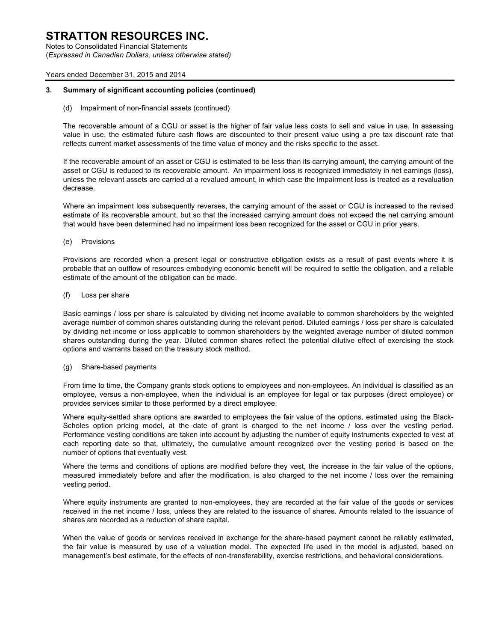Notes to Consolidated Financial Statements (*Expressed in Canadian Dollars, unless otherwise stated)*

#### Years ended December 31, 2015 and 2014

#### **3. Summary of significant accounting policies (continued)**

(d) Impairment of non-financial assets (continued)

The recoverable amount of a CGU or asset is the higher of fair value less costs to sell and value in use. In assessing value in use, the estimated future cash flows are discounted to their present value using a pre tax discount rate that reflects current market assessments of the time value of money and the risks specific to the asset.

If the recoverable amount of an asset or CGU is estimated to be less than its carrying amount, the carrying amount of the asset or CGU is reduced to its recoverable amount. An impairment loss is recognized immediately in net earnings (loss), unless the relevant assets are carried at a revalued amount, in which case the impairment loss is treated as a revaluation decrease.

Where an impairment loss subsequently reverses, the carrying amount of the asset or CGU is increased to the revised estimate of its recoverable amount, but so that the increased carrying amount does not exceed the net carrying amount that would have been determined had no impairment loss been recognized for the asset or CGU in prior years.

(e) Provisions

Provisions are recorded when a present legal or constructive obligation exists as a result of past events where it is probable that an outflow of resources embodying economic benefit will be required to settle the obligation, and a reliable estimate of the amount of the obligation can be made.

(f) Loss per share

Basic earnings / loss per share is calculated by dividing net income available to common shareholders by the weighted average number of common shares outstanding during the relevant period. Diluted earnings / loss per share is calculated by dividing net income or loss applicable to common shareholders by the weighted average number of diluted common shares outstanding during the year. Diluted common shares reflect the potential dilutive effect of exercising the stock options and warrants based on the treasury stock method.

#### (g) Share-based payments

From time to time, the Company grants stock options to employees and non-employees. An individual is classified as an employee, versus a non-employee, when the individual is an employee for legal or tax purposes (direct employee) or provides services similar to those performed by a direct employee.

Where equity-settled share options are awarded to employees the fair value of the options, estimated using the Black-Scholes option pricing model, at the date of grant is charged to the net income / loss over the vesting period. Performance vesting conditions are taken into account by adjusting the number of equity instruments expected to vest at each reporting date so that, ultimately, the cumulative amount recognized over the vesting period is based on the number of options that eventually vest.

Where the terms and conditions of options are modified before they vest, the increase in the fair value of the options, measured immediately before and after the modification, is also charged to the net income / loss over the remaining vesting period.

Where equity instruments are granted to non-employees, they are recorded at the fair value of the goods or services received in the net income / loss, unless they are related to the issuance of shares. Amounts related to the issuance of shares are recorded as a reduction of share capital.

When the value of goods or services received in exchange for the share-based payment cannot be reliably estimated, the fair value is measured by use of a valuation model. The expected life used in the model is adjusted, based on management's best estimate, for the effects of non-transferability, exercise restrictions, and behavioral considerations.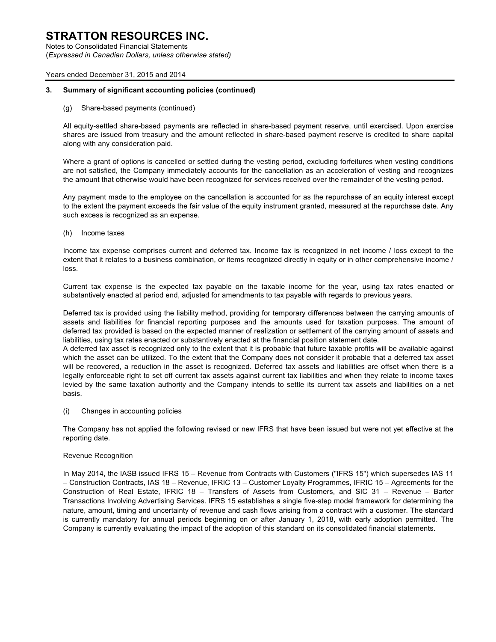Notes to Consolidated Financial Statements (*Expressed in Canadian Dollars, unless otherwise stated)*

#### Years ended December 31, 2015 and 2014

#### **3. Summary of significant accounting policies (continued)**

(g) Share-based payments (continued)

All equity-settled share-based payments are reflected in share-based payment reserve, until exercised. Upon exercise shares are issued from treasury and the amount reflected in share-based payment reserve is credited to share capital along with any consideration paid.

Where a grant of options is cancelled or settled during the vesting period, excluding forfeitures when vesting conditions are not satisfied, the Company immediately accounts for the cancellation as an acceleration of vesting and recognizes the amount that otherwise would have been recognized for services received over the remainder of the vesting period.

Any payment made to the employee on the cancellation is accounted for as the repurchase of an equity interest except to the extent the payment exceeds the fair value of the equity instrument granted, measured at the repurchase date. Any such excess is recognized as an expense.

(h) Income taxes

Income tax expense comprises current and deferred tax. Income tax is recognized in net income / loss except to the extent that it relates to a business combination, or items recognized directly in equity or in other comprehensive income / loss.

Current tax expense is the expected tax payable on the taxable income for the year, using tax rates enacted or substantively enacted at period end, adjusted for amendments to tax payable with regards to previous years.

Deferred tax is provided using the liability method, providing for temporary differences between the carrying amounts of assets and liabilities for financial reporting purposes and the amounts used for taxation purposes. The amount of deferred tax provided is based on the expected manner of realization or settlement of the carrying amount of assets and liabilities, using tax rates enacted or substantively enacted at the financial position statement date.

A deferred tax asset is recognized only to the extent that it is probable that future taxable profits will be available against which the asset can be utilized. To the extent that the Company does not consider it probable that a deferred tax asset will be recovered, a reduction in the asset is recognized. Deferred tax assets and liabilities are offset when there is a legally enforceable right to set off current tax assets against current tax liabilities and when they relate to income taxes levied by the same taxation authority and the Company intends to settle its current tax assets and liabilities on a net basis.

(i) Changes in accounting policies

The Company has not applied the following revised or new IFRS that have been issued but were not yet effective at the reporting date.

#### Revenue Recognition

In May 2014, the IASB issued IFRS 15 – Revenue from Contracts with Customers ("IFRS 15") which supersedes IAS 11 – Construction Contracts, IAS 18 – Revenue, IFRIC 13 – Customer Loyalty Programmes, IFRIC 15 – Agreements for the Construction of Real Estate, IFRIC 18 – Transfers of Assets from Customers, and SIC 31 – Revenue – Barter Transactions Involving Advertising Services. IFRS 15 establishes a single five-step model framework for determining the nature, amount, timing and uncertainty of revenue and cash flows arising from a contract with a customer. The standard is currently mandatory for annual periods beginning on or after January 1, 2018, with early adoption permitted. The Company is currently evaluating the impact of the adoption of this standard on its consolidated financial statements.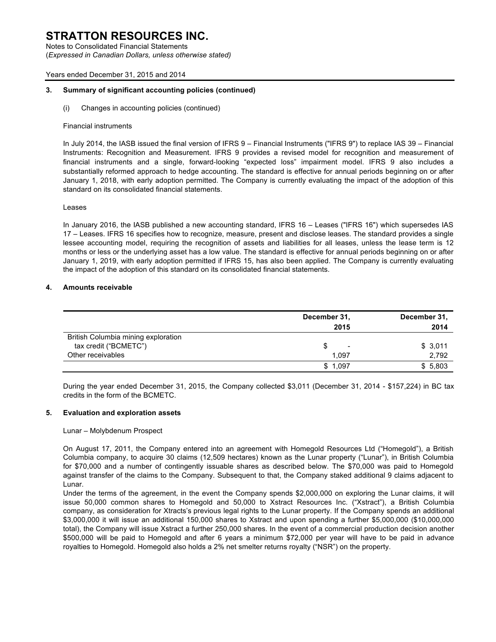Notes to Consolidated Financial Statements (*Expressed in Canadian Dollars, unless otherwise stated)*

#### Years ended December 31, 2015 and 2014

#### **3. Summary of significant accounting policies (continued)**

(i) Changes in accounting policies (continued)

#### Financial instruments

In July 2014, the IASB issued the final version of IFRS 9 – Financial Instruments ("IFRS 9") to replace IAS 39 – Financial Instruments: Recognition and Measurement. IFRS 9 provides a revised model for recognition and measurement of financial instruments and a single, forward-looking "expected loss" impairment model. IFRS 9 also includes a substantially reformed approach to hedge accounting. The standard is effective for annual periods beginning on or after January 1, 2018, with early adoption permitted. The Company is currently evaluating the impact of the adoption of this standard on its consolidated financial statements.

#### Leases

In January 2016, the IASB published a new accounting standard, IFRS 16 – Leases ("IFRS 16") which supersedes IAS 17 – Leases. IFRS 16 specifies how to recognize, measure, present and disclose leases. The standard provides a single lessee accounting model, requiring the recognition of assets and liabilities for all leases, unless the lease term is 12 months or less or the underlying asset has a low value. The standard is effective for annual periods beginning on or after January 1, 2019, with early adoption permitted if IFRS 15, has also been applied. The Company is currently evaluating the impact of the adoption of this standard on its consolidated financial statements.

#### **4. Amounts receivable**

|                                                              | December 31,<br>2015           | December 31,<br>2014 |
|--------------------------------------------------------------|--------------------------------|----------------------|
| British Columbia mining exploration<br>tax credit ("BCMETC") | \$<br>$\overline{\phantom{a}}$ | \$3,011              |
| Other receivables                                            | 1.097                          | 2,792                |
|                                                              | \$1.097                        | \$5,803              |

During the year ended December 31, 2015, the Company collected \$3,011 (December 31, 2014 - \$157,224) in BC tax credits in the form of the BCMETC.

#### **5. Evaluation and exploration assets**

#### Lunar – Molybdenum Prospect

On August 17, 2011, the Company entered into an agreement with Homegold Resources Ltd ("Homegold"), a British Columbia company, to acquire 30 claims (12,509 hectares) known as the Lunar property ("Lunar"), in British Columbia for \$70,000 and a number of contingently issuable shares as described below. The \$70,000 was paid to Homegold against transfer of the claims to the Company. Subsequent to that, the Company staked additional 9 claims adjacent to Lunar.

Under the terms of the agreement, in the event the Company spends \$2,000,000 on exploring the Lunar claims, it will issue 50,000 common shares to Homegold and 50,000 to Xstract Resources Inc. ("Xstract"), a British Columbia company, as consideration for Xtracts's previous legal rights to the Lunar property. If the Company spends an additional \$3,000,000 it will issue an additional 150,000 shares to Xstract and upon spending a further \$5,000,000 (\$10,000,000 total), the Company will issue Xstract a further 250,000 shares. In the event of a commercial production decision another \$500,000 will be paid to Homegold and after 6 years a minimum \$72,000 per year will have to be paid in advance royalties to Homegold. Homegold also holds a 2% net smelter returns royalty ("NSR") on the property.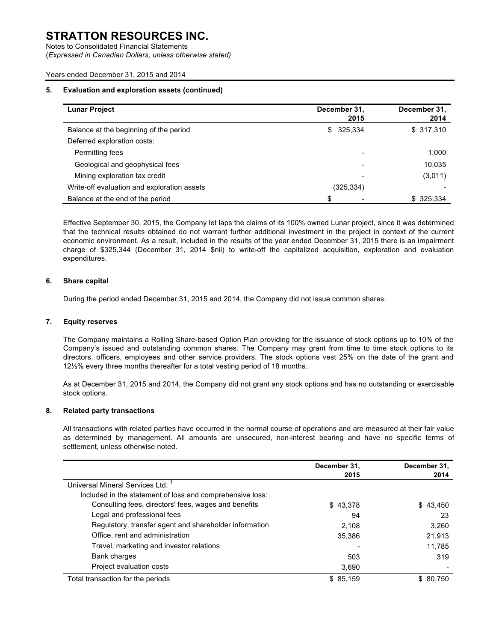Notes to Consolidated Financial Statements (*Expressed in Canadian Dollars, unless otherwise stated)*

#### Years ended December 31, 2015 and 2014

#### **5. Evaluation and exploration assets (continued)**

| <b>Lunar Project</b>                        | December 31,<br>2015 | December 31,<br>2014 |
|---------------------------------------------|----------------------|----------------------|
| Balance at the beginning of the period      | \$ 325,334           | \$317,310            |
| Deferred exploration costs:                 |                      |                      |
| Permitting fees                             |                      | 1,000                |
| Geological and geophysical fees             |                      | 10,035               |
| Mining exploration tax credit               |                      | (3,011)              |
| Write-off evaluation and exploration assets | (325,334)            |                      |
| Balance at the end of the period            |                      | \$325,334            |

Effective September 30, 2015, the Company let laps the claims of its 100% owned Lunar project, since it was determined that the technical results obtained do not warrant further additional investment in the project in context of the current economic environment. As a result, included in the results of the year ended December 31, 2015 there is an impairment charge of \$325,344 (December 31, 2014 \$nil) to write-off the capitalized acquisition, exploration and evaluation expenditures.

#### **6. Share capital**

During the period ended December 31, 2015 and 2014, the Company did not issue common shares.

#### **7. Equity reserves**

The Company maintains a Rolling Share-based Option Plan providing for the issuance of stock options up to 10% of the Company's issued and outstanding common shares. The Company may grant from time to time stock options to its directors, officers, employees and other service providers. The stock options vest 25% on the date of the grant and 12½% every three months thereafter for a total vesting period of 18 months.

As at December 31, 2015 and 2014, the Company did not grant any stock options and has no outstanding or exercisable stock options.

#### **8. Related party transactions**

All transactions with related parties have occurred in the normal course of operations and are measured at their fair value as determined by management. All amounts are unsecured, non-interest bearing and have no specific terms of settlement, unless otherwise noted.

|                                                           | December 31, | December 31, |
|-----------------------------------------------------------|--------------|--------------|
|                                                           | 2015         | 2014         |
| Universal Mineral Services Ltd.                           |              |              |
| Included in the statement of loss and comprehensive loss: |              |              |
| Consulting fees, directors' fees, wages and benefits      | \$43,378     | \$43.450     |
| Legal and professional fees                               | 94           | 23           |
| Regulatory, transfer agent and shareholder information    | 2.108        | 3.260        |
| Office, rent and administration                           | 35.386       | 21,913       |
| Travel, marketing and investor relations                  |              | 11.785       |
| Bank charges                                              | 503          | 319          |
| Project evaluation costs                                  | 3,690        |              |
| Total transaction for the periods                         | \$85,159     | \$ 80.750    |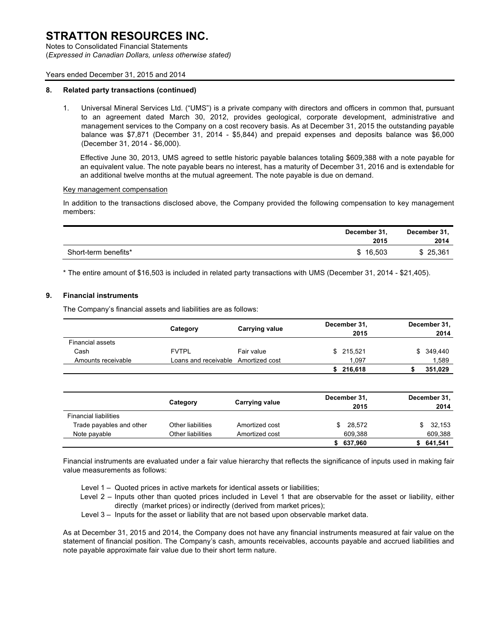Notes to Consolidated Financial Statements (*Expressed in Canadian Dollars, unless otherwise stated)*

#### Years ended December 31, 2015 and 2014

#### **8. Related party transactions (continued)**

1. Universal Mineral Services Ltd. ("UMS") is a private company with directors and officers in common that, pursuant to an agreement dated March 30, 2012, provides geological, corporate development, administrative and management services to the Company on a cost recovery basis. As at December 31, 2015 the outstanding payable balance was \$7,871 (December 31, 2014 - \$5,844) and prepaid expenses and deposits balance was \$6,000 (December 31, 2014 - \$6,000).

Effective June 30, 2013, UMS agreed to settle historic payable balances totaling \$609,388 with a note payable for an equivalent value. The note payable bears no interest, has a maturity of December 31, 2016 and is extendable for an additional twelve months at the mutual agreement. The note payable is due on demand.

#### Key management compensation

In addition to the transactions disclosed above, the Company provided the following compensation to key management members:

|                      | December 31,<br>2015 | December 31,<br>2014 |
|----------------------|----------------------|----------------------|
| Short-term benefits* | \$16.503             | \$25,361             |

\* The entire amount of \$16,503 is included in related party transactions with UMS (December 31, 2014 - \$21,405).

#### **9. Financial instruments**

The Company's financial assets and liabilities are as follows:

|                              |                          |                       | December 31, |                      | December 31,         |
|------------------------------|--------------------------|-----------------------|--------------|----------------------|----------------------|
|                              | Category                 | <b>Carrying value</b> |              | 2015                 | 2014                 |
| <b>Financial assets</b>      |                          |                       |              |                      |                      |
| Cash                         | <b>FVTPL</b>             | Fair value            |              | \$ 215.521           | \$ 349,440           |
| Amounts receivable           | Loans and receivable     | Amortized cost        |              | 1.097                | 1,589                |
|                              |                          |                       |              | \$216,618            | 351,029              |
|                              | Category                 | <b>Carrying value</b> |              | December 31,<br>2015 | December 31,<br>2014 |
| <b>Financial liabilities</b> |                          |                       |              |                      |                      |
|                              | Other liabilities        | Amortized cost        |              | 28,572<br>\$         | \$<br>32,153         |
| Trade payables and other     |                          |                       |              |                      |                      |
| Note payable                 | <b>Other liabilities</b> | Amortized cost        |              | 609.388              | 609,388              |
|                              |                          |                       | \$           | 637,960              | \$<br>641,541        |

Financial instruments are evaluated under a fair value hierarchy that reflects the significance of inputs used in making fair value measurements as follows:

Level 1 – Quoted prices in active markets for identical assets or liabilities;

- Level 2 Inputs other than quoted prices included in Level 1 that are observable for the asset or liability, either directly (market prices) or indirectly (derived from market prices);
- Level 3 Inputs for the asset or liability that are not based upon observable market data.

As at December 31, 2015 and 2014, the Company does not have any financial instruments measured at fair value on the statement of financial position. The Company's cash, amounts receivables, accounts payable and accrued liabilities and note payable approximate fair value due to their short term nature.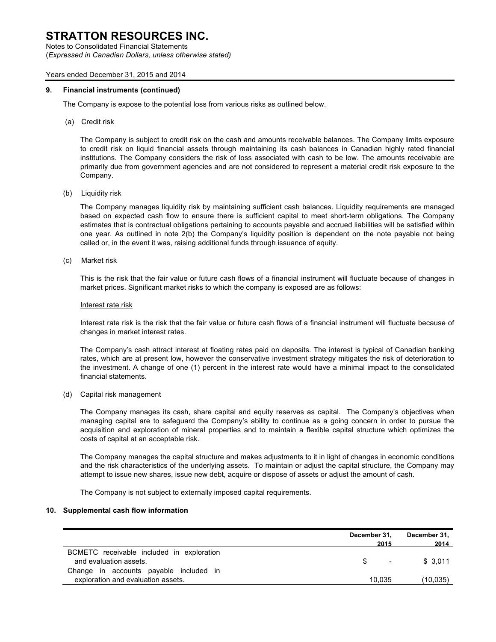Notes to Consolidated Financial Statements (*Expressed in Canadian Dollars, unless otherwise stated)*

#### Years ended December 31, 2015 and 2014

#### **9. Financial instruments (continued)**

The Company is expose to the potential loss from various risks as outlined below.

(a) Credit risk

The Company is subject to credit risk on the cash and amounts receivable balances. The Company limits exposure to credit risk on liquid financial assets through maintaining its cash balances in Canadian highly rated financial institutions. The Company considers the risk of loss associated with cash to be low. The amounts receivable are primarily due from government agencies and are not considered to represent a material credit risk exposure to the Company.

(b) Liquidity risk

The Company manages liquidity risk by maintaining sufficient cash balances. Liquidity requirements are managed based on expected cash flow to ensure there is sufficient capital to meet short-term obligations. The Company estimates that is contractual obligations pertaining to accounts payable and accrued liabilities will be satisfied within one year. As outlined in note 2(b) the Company's liquidity position is dependent on the note payable not being called or, in the event it was, raising additional funds through issuance of equity.

(c) Market risk

This is the risk that the fair value or future cash flows of a financial instrument will fluctuate because of changes in market prices. Significant market risks to which the company is exposed are as follows:

#### Interest rate risk

Interest rate risk is the risk that the fair value or future cash flows of a financial instrument will fluctuate because of changes in market interest rates.

The Company's cash attract interest at floating rates paid on deposits. The interest is typical of Canadian banking rates, which are at present low, however the conservative investment strategy mitigates the risk of deterioration to the investment. A change of one (1) percent in the interest rate would have a minimal impact to the consolidated financial statements.

(d) Capital risk management

The Company manages its cash, share capital and equity reserves as capital. The Company's objectives when managing capital are to safeguard the Company's ability to continue as a going concern in order to pursue the acquisition and exploration of mineral properties and to maintain a flexible capital structure which optimizes the costs of capital at an acceptable risk.

The Company manages the capital structure and makes adjustments to it in light of changes in economic conditions and the risk characteristics of the underlying assets. To maintain or adjust the capital structure, the Company may attempt to issue new shares, issue new debt, acquire or dispose of assets or adjust the amount of cash.

The Company is not subject to externally imposed capital requirements.

#### **10. Supplemental cash flow information**

|                                                                     | December 31,   | December 31.    |
|---------------------------------------------------------------------|----------------|-----------------|
| BCMETC receivable included in exploration<br>and evaluation assets. | 2015<br>$\sim$ | 2014<br>\$3.011 |
| Change in accounts payable included in                              |                |                 |
| exploration and evaluation assets.                                  | 10.035         | (10.035)        |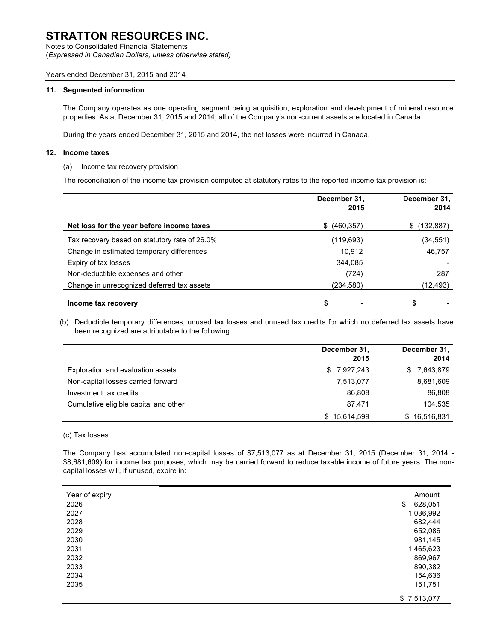Notes to Consolidated Financial Statements (*Expressed in Canadian Dollars, unless otherwise stated)*

#### Years ended December 31, 2015 and 2014

#### **11. Segmented information**

The Company operates as one operating segment being acquisition, exploration and development of mineral resource properties. As at December 31, 2015 and 2014, all of the Company's non-current assets are located in Canada.

During the years ended December 31, 2015 and 2014, the net losses were incurred in Canada.

#### **12. Income taxes**

(a) Income tax recovery provision

The reconciliation of the income tax provision computed at statutory rates to the reported income tax provision is:

|                                               | December 31,<br>2015 | December 31,<br>2014 |
|-----------------------------------------------|----------------------|----------------------|
| Net loss for the year before income taxes     | (460, 357)<br>S.     | (132,887)<br>S       |
| Tax recovery based on statutory rate of 26.0% | (119,693)            | (34, 551)            |
| Change in estimated temporary differences     | 10.912               | 46,757               |
| Expiry of tax losses                          | 344.085              |                      |
| Non-deductible expenses and other             | (724)                | 287                  |
| Change in unrecognized deferred tax assets    | (234,580)            | (12, 493)            |
| Income tax recovery                           | \$                   | \$                   |

(b) Deductible temporary differences, unused tax losses and unused tax credits for which no deferred tax assets have been recognized are attributable to the following:

|                                       | December 31,<br>2015 | December 31,<br>2014 |
|---------------------------------------|----------------------|----------------------|
| Exploration and evaluation assets     | \$7,927,243          | 7,643,879<br>S.      |
| Non-capital losses carried forward    | 7,513,077            | 8,681,609            |
| Investment tax credits                | 86.808               | 86,808               |
| Cumulative eligible capital and other | 87.471               | 104.535              |
|                                       | \$15,614,599         | \$16,516,831         |

#### (c) Tax losses

The Company has accumulated non-capital losses of \$7,513,077 as at December 31, 2015 (December 31, 2014 - \$8,681,609) for income tax purposes, which may be carried forward to reduce taxable income of future years. The noncapital losses will, if unused, expire in:

| Year of expiry | Amount        |
|----------------|---------------|
| 2026           | 628,051<br>\$ |
| 2027           | 1,036,992     |
| 2028           | 682,444       |
| 2029           | 652,086       |
| 2030           | 981,145       |
| 2031           | 1,465,623     |
| 2032           | 869,967       |
| 2033           | 890,382       |
| 2034           | 154,636       |
| 2035           | 151,751       |
|                | \$7,513,077   |